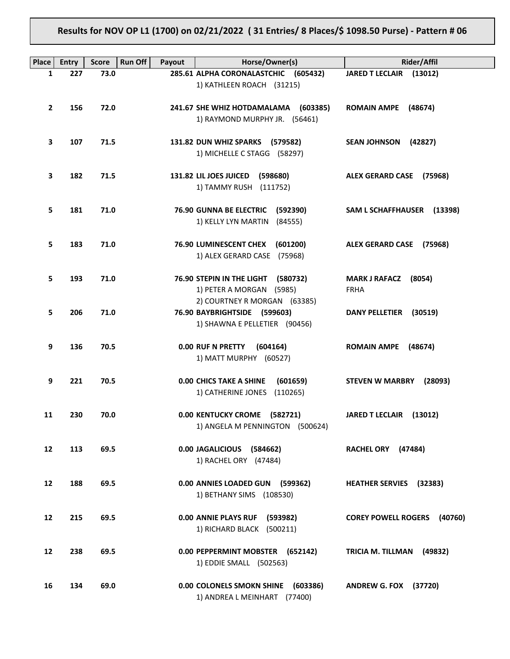# **Results for NOV OP L1 (1700) on 02/21/2022 ( 31 Entries/ 8 Places/\$ 1098.50 Purse) - Pattern # 06**

| <b>Place</b>      | <b>Entry</b> | <b>Score</b> | <b>Run Off</b><br>Payout | Horse/Owner(s)                                                                                    | <b>Rider/Affil</b>                            |
|-------------------|--------------|--------------|--------------------------|---------------------------------------------------------------------------------------------------|-----------------------------------------------|
| 1                 | 227          | 73.0         |                          | 285.61 ALPHA CORONALASTCHIC (605432)                                                              | JARED T LECLAIR (13012)                       |
|                   |              |              |                          | 1) KATHLEEN ROACH (31215)                                                                         |                                               |
| $\mathbf{2}$      | 156          | 72.0         |                          | 241.67 SHE WHIZ HOTDAMALAMA (603385)<br>1) RAYMOND MURPHY JR. (56461)                             | <b>ROMAIN AMPE</b><br>(48674)                 |
| 3                 | 107          | 71.5         |                          | 131.82 DUN WHIZ SPARKS (579582)<br>1) MICHELLE C STAGG (58297)                                    | <b>SEAN JOHNSON</b><br>(42827)                |
| 3                 | 182          | 71.5         |                          | 131.82 LIL JOES JUICED (598680)<br>1) TAMMY RUSH (111752)                                         | ALEX GERARD CASE (75968)                      |
| 5.                | 181          | 71.0         |                          | 76.90 GUNNA BE ELECTRIC<br>(592390)<br>1) KELLY LYN MARTIN<br>(84555)                             | SAM L SCHAFFHAUSER (13398)                    |
| 5                 | 183          | 71.0         |                          | 76.90 LUMINESCENT CHEX (601200)<br>1) ALEX GERARD CASE (75968)                                    | ALEX GERARD CASE (75968)                      |
| 5.                | 193          | 71.0         |                          | 76.90 STEPIN IN THE LIGHT<br>(580732)<br>1) PETER A MORGAN (5985)<br>2) COURTNEY R MORGAN (63385) | <b>MARK J RAFACZ</b><br>(8054)<br><b>FRHA</b> |
| 5                 | 206          | 71.0         |                          | 76.90 BAYBRIGHTSIDE (599603)<br>1) SHAWNA E PELLETIER (90456)                                     | <b>DANY PELLETIER</b><br>(30519)              |
| 9                 | 136          | 70.5         |                          | 0.00 RUF N PRETTY<br>(604164)<br>1) MATT MURPHY (60527)                                           | <b>ROMAIN AMPE</b><br>(48674)                 |
| 9                 | 221          | 70.5         |                          | <b>0.00 CHICS TAKE A SHINE</b><br>(601659)<br>1) CATHERINE JONES<br>(110265)                      | <b>STEVEN W MARBRY</b><br>(28093)             |
| 11                | 230          | 70.0         |                          | 0.00 KENTUCKY CROME (582721)<br>1) ANGELA M PENNINGTON (500624)                                   | JARED T LECLAIR (13012)                       |
| $12 \overline{ }$ | 113          | 69.5         |                          | 0.00 JAGALICIOUS (584662)<br>1) RACHEL ORY (47484)                                                | RACHEL ORY (47484)                            |
| 12                | 188          | 69.5         |                          | 0.00 ANNIES LOADED GUN (599362)<br>1) BETHANY SIMS (108530)                                       | <b>HEATHER SERVIES</b> (32383)                |
| 12                | 215          | 69.5         |                          | 0.00 ANNIE PLAYS RUF (593982)<br>1) RICHARD BLACK (500211)                                        | <b>COREY POWELL ROGERS</b><br>(40760)         |
| 12                | 238          | 69.5         |                          | 0.00 PEPPERMINT MOBSTER (652142)<br>1) EDDIE SMALL (502563)                                       | TRICIA M. TILLMAN<br>(49832)                  |
| 16                | 134          | 69.0         |                          | 0.00 COLONELS SMOKN SHINE (603386)<br>1) ANDREA L MEINHART (77400)                                | <b>ANDREW G. FOX (37720)</b>                  |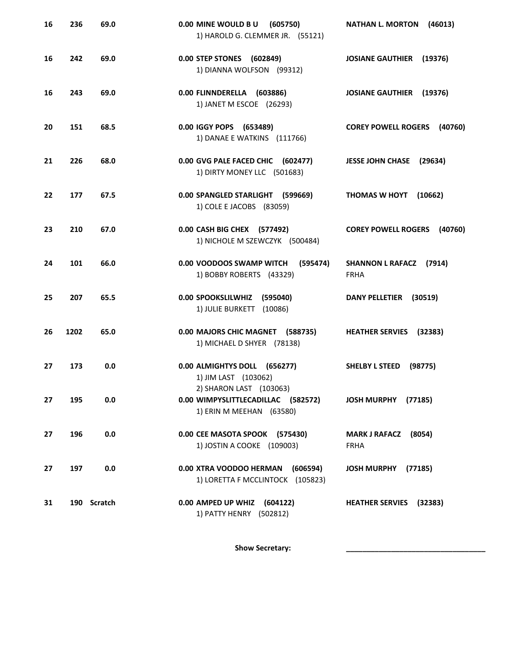| 16 | 236  | 69.0        | 0.00 MINE WOULD BU<br>(605750)<br>1) HAROLD G. CLEMMER JR. (55121)              | <b>NATHAN L. MORTON</b><br>(46013)            |
|----|------|-------------|---------------------------------------------------------------------------------|-----------------------------------------------|
| 16 | 242  | 69.0        | 0.00 STEP STONES (602849)<br>1) DIANNA WOLFSON (99312)                          | <b>JOSIANE GAUTHIER</b><br>(19376)            |
| 16 | 243  | 69.0        | 0.00 FLINNDERELLA (603886)<br>1) JANET M ESCOE (26293)                          | <b>JOSIANE GAUTHIER</b><br>(19376)            |
| 20 | 151  | 68.5        | 0.00 IGGY POPS (653489)<br>1) DANAE E WATKINS (111766)                          | <b>COREY POWELL ROGERS (40760)</b>            |
| 21 | 226  | 68.0        | 0.00 GVG PALE FACED CHIC (602477)<br>1) DIRTY MONEY LLC (501683)                | <b>JESSE JOHN CHASE</b><br>(29634)            |
| 22 | 177  | 67.5        | 0.00 SPANGLED STARLIGHT (599669)<br>1) COLE E JACOBS (83059)                    | THOMAS W HOYT (10662)                         |
| 23 | 210  | 67.0        | 0.00 CASH BIG CHEX (577492)<br>1) NICHOLE M SZEWCZYK (500484)                   | <b>COREY POWELL ROGERS</b><br>(40760)         |
| 24 | 101  | 66.0        | 0.00 VOODOOS SWAMP WITCH<br>(595474)<br>1) BOBBY ROBERTS (43329)                | SHANNON L RAFACZ (7914)<br><b>FRHA</b>        |
| 25 | 207  | 65.5        | 0.00 SPOOKSLILWHIZ (595040)<br>1) JULIE BURKETT (10086)                         | DANY PELLETIER (30519)                        |
| 26 | 1202 | 65.0        | 0.00 MAJORS CHIC MAGNET (588735)<br>1) MICHAEL D SHYER (78138)                  | <b>HEATHER SERVIES</b> (32383)                |
| 27 | 173  | 0.0         | 0.00 ALMIGHTYS DOLL (656277)<br>1) JIM LAST (103062)<br>2) SHARON LAST (103063) | <b>SHELBY L STEED</b><br>(98775)              |
| 27 | 195  | 0.0         | 0.00 WIMPYSLITTLECADILLAC (582572)<br>1) ERIN M MEEHAN (63580)                  | JOSH MURPHY (77185)                           |
| 27 | 196  | 0.0         | 0.00 CEE MASOTA SPOOK (575430)<br>1) JOSTIN A COOKE (109003)                    | (8054)<br><b>MARK J RAFACZ</b><br><b>FRHA</b> |
| 27 | 197  | 0.0         | 0.00 XTRA VOODOO HERMAN<br>(606594)<br>1) LORETTA F MCCLINTOCK (105823)         | JOSH MURPHY (77185)                           |
| 31 |      | 190 Scratch | 0.00 AMPED UP WHIZ (604122)<br>1) PATTY HENRY (502812)                          | HEATHER SERVIES (32383)                       |

Show Secretary: